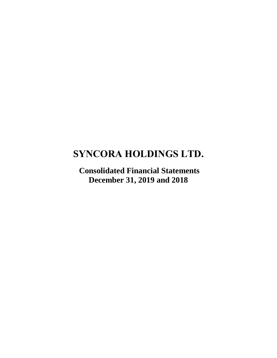# **SYNCORA HOLDINGS LTD.**

**Consolidated Financial Statements December 31, 2019 and 2018**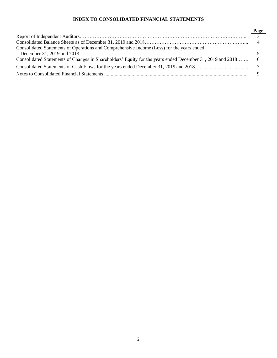# **INDEX TO CONSOLIDATED FINANCIAL STATEMENTS**

|                                                                                                             | Page |
|-------------------------------------------------------------------------------------------------------------|------|
|                                                                                                             |      |
|                                                                                                             |      |
| Consolidated Statements of Operations and Comprehensive Income (Loss) for the years ended                   |      |
|                                                                                                             |      |
| Consolidated Statements of Changes in Shareholders' Equity for the years ended December 31, 2019 and 2018 6 |      |
|                                                                                                             |      |
|                                                                                                             |      |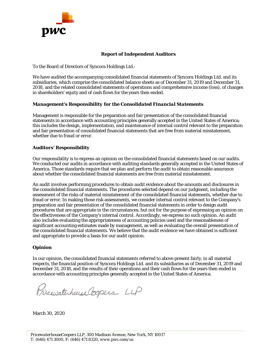

# **Report of Independent Auditors**

To the Board of Directors of Syncora Holdings Ltd.:

We have audited the accompanying consolidated financial statements of Syncora Holdings Ltd. and its subsidiaries, which comprise the consolidated balance sheets as of December 31, 2019 and December 31, 2018, and the related consolidated statements of operations and comprehensive income (loss), of changes in shareholders' equity and of cash flows for the years then ended.

# *Management's Responsibility for the Consolidated Financial Statements*

Management is responsible for the preparation and fair presentation of the consolidated financial statements in accordance with accounting principles generally accepted in the United States of America; this includes the design, implementation, and maintenance of internal control relevant to the preparation and fair presentation of consolidated financial statements that are free from material misstatement, whether due to fraud or error.

# *Auditors' Responsibility*

Our responsibility is to express an opinion on the consolidated financial statements based on our audits. We conducted our audits in accordance with auditing standards generally accepted in the United States of America. Those standards require that we plan and perform the audit to obtain reasonable assurance about whether the consolidated financial statements are free from material misstatement.

An audit involves performing procedures to obtain audit evidence about the amounts and disclosures in the consolidated financial statements. The procedures selected depend on our judgment, including the assessment of the risks of material misstatement of the consolidated financial statements, whether due to fraud or error. In making those risk assessments, we consider internal control relevant to the Company's preparation and fair presentation of the consolidated financial statements in order to design audit procedures that are appropriate in the circumstances, but not for the purpose of expressing an opinion on the effectiveness of the Company's internal control. Accordingly, we express no such opinion. An audit also includes evaluating the appropriateness of accounting policies used and the reasonableness of significant accounting estimates made by management, as well as evaluating the overall presentation of the consolidated financial statements. We believe that the audit evidence we have obtained is sufficient and appropriate to provide a basis for our audit opinion.

# *Opinion*

In our opinion, the consolidated financial statements referred to above present fairly, in all material respects, the financial position of Syncora Holdings Ltd. and its subsidiaries as of December 31, 2019 and December 31, 2018, and the results of their operations and their cash flows for the years then ended in accordance with accounting principles generally accepted in the United States of America.

Pricewaterhouse Coopers LLP

March 30, 2020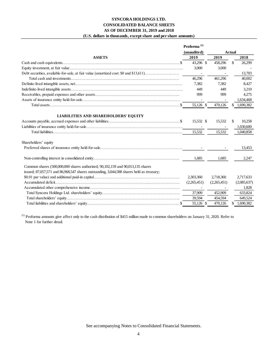# **SYNCORA HOLDINGS LTD. CONSOLIDATED BALANCE SHEETS AS OF DECEMBER 31, 2019 and 2018 (U.S. dollars in thousands, except share and per share amounts)**

|                                                                                          | Proforma <sup>(1)</sup><br>(unaudited) |                  | <b>Actual</b> |                                  |
|------------------------------------------------------------------------------------------|----------------------------------------|------------------|---------------|----------------------------------|
| <b>ASSETS</b>                                                                            | 2019                                   | 2019             |               | 2018                             |
|                                                                                          | 43,296 \$                              | 458,296          | \$.           | 26,299                           |
|                                                                                          | 3,000                                  | 3,000            |               |                                  |
| Debt securities, available-for-sale, at fair value (amortized cost: \$0 and \$13,611)    |                                        |                  |               | 13,703                           |
|                                                                                          | 46.296                                 | 461.296          |               | 40,002                           |
|                                                                                          | 7,382                                  | 7,382            |               | 8,427                            |
|                                                                                          | 449                                    | 449              |               | 3,210                            |
|                                                                                          | 999                                    | 999              |               | 4,275                            |
|                                                                                          |                                        |                  |               | 1,634,468                        |
|                                                                                          | 55,126 \$                              | 470,126          | \$.           | 1,690,382                        |
| <b>LIABILITIES AND SHAREHOLDERS' EQUITY</b>                                              | 15,532 \$<br>$\sim$<br>15,532          | 15,532<br>15,532 | \$            | 10,258<br>1,030,600<br>1,040,858 |
| Shareholders' equity                                                                     |                                        |                  |               |                                  |
|                                                                                          |                                        |                  |               | 13,453                           |
|                                                                                          | 1.685                                  | 1,685            |               | 2,247                            |
| Common shares (500,000,000 shares authorized; 90,102,159 and 90,013,135 shares           |                                        |                  |               |                                  |
| issued; 87,057,571 and 86,968,547 shares outstanding, 3,044,588 shares held as treasury; |                                        |                  |               |                                  |
|                                                                                          | 2,303,360                              | 2.718.360        |               | 2.717.633                        |
|                                                                                          | (2,265,451)                            | (2,265,451)      |               | (2,085,637)                      |
|                                                                                          | $\sim$                                 |                  |               | 1.828                            |
|                                                                                          | 37,909                                 | 452,909          |               | 633,824                          |
|                                                                                          | 39,594                                 | 454,594          |               | 649.524                          |
|                                                                                          | 55,126 \$                              | 470,126          |               | \$1,690,382                      |

(1) Proforma amounts give affect only to the cash distribution of \$415 million made to common shareholders on January 31, 2020. Refer to Note 1 for further detail.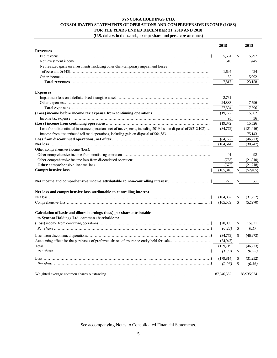# **SYNCORA HOLDINGS LTD. CONSOLIDATED STATEMENTS OF OPERATIONS AND COMPREHENSIVE INCOME (LOSS) FOR THE YEARS ENDED DECEMBER 31, 2019 AND 2018**

|                                                                                                                | 2019       |     | 2018       |
|----------------------------------------------------------------------------------------------------------------|------------|-----|------------|
| Revenues                                                                                                       |            |     |            |
|                                                                                                                | 5.561      | \$  | 5,297      |
|                                                                                                                | 510        |     | 1,445      |
| Net realized gains on investments, including other-than-temporary impairment losses                            |            |     |            |
|                                                                                                                | 1,694      |     | 424        |
|                                                                                                                | 52         |     | 15,992     |
|                                                                                                                | 7,817      |     | 23,158     |
| <b>Expenses</b>                                                                                                |            |     |            |
|                                                                                                                | 2,761      |     |            |
|                                                                                                                | 24,833     |     | 7,596      |
|                                                                                                                | 27,594     |     | 7,596      |
|                                                                                                                | (19,777)   |     | 15,562     |
|                                                                                                                | 95         |     | 36         |
|                                                                                                                | (19,872)   |     | 15,526     |
| Loss from discontinued insurance operations net of tax expense, including 2019 loss on disposal of \$(212,102) | (84,772)   |     | (121, 416) |
|                                                                                                                | $\sim$     |     | 75,143     |
|                                                                                                                | (84,772)   |     | (46,273)   |
|                                                                                                                | (104, 644) |     | (30,747)   |
| Other comprehensive income (loss):                                                                             |            |     |            |
|                                                                                                                | 91         |     | 92         |
|                                                                                                                | (763)      |     | (21, 810)  |
|                                                                                                                | (672)      |     | (21,718)   |
|                                                                                                                | (105,316)  | \$  | (52, 465)  |
|                                                                                                                |            |     |            |
| Net income and comprehensive income attributable to non-controlling interest\$                                 | 223        |     | 505        |
| Net loss and comprehensive loss attributable to controlling interest:                                          |            |     |            |
|                                                                                                                | (104, 867) | \$  | (31,252)   |
|                                                                                                                | (105, 539) | \$  | (52,970)   |
| Calculation of basic and diluted earnings (loss) per share attributable                                        |            |     |            |
| to Syncora Holdings Ltd. common shareholders:                                                                  |            |     |            |
|                                                                                                                | (20,095)   | \$  | 15,021     |
|                                                                                                                | (0.23)     | -\$ | 0.17       |
|                                                                                                                | (84,772)   | -\$ | (46,273)   |
|                                                                                                                | (74, 947)  |     |            |
|                                                                                                                | (159,719)  |     | (46,273)   |
|                                                                                                                | (1.83)     | -\$ | (0.53)     |
|                                                                                                                |            |     |            |
|                                                                                                                | (179, 814) | \$  | (31,252)   |
|                                                                                                                | (2.06)     | \$  | (0.36)     |
|                                                                                                                | 87,046,352 |     | 86,935,974 |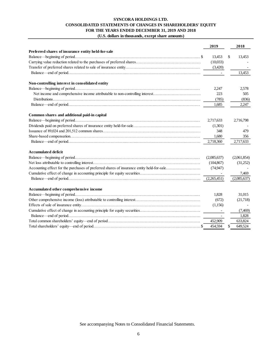# **SYNCORA HOLDINGS LTD. CONSOLIDATED STATEMENTS OF CHANGES IN SHAREHOLDERS' EQUITY FOR THE YEARS ENDED DECEMBER 31, 2019 AND 2018 (U.S. dollars in thousands, except share amounts)**

| $\mathbf{0}$ . $\mathbf{0}$ donars in thousands, except share amounts $\mathbf{0}$        |             |             |
|-------------------------------------------------------------------------------------------|-------------|-------------|
|                                                                                           | 2019        | 2018        |
| Preferred shares of insurance entity held-for-sale                                        |             |             |
|                                                                                           | 13,453      | 13,453      |
|                                                                                           | (10,033)    |             |
|                                                                                           | (3,420)     |             |
|                                                                                           |             | 13,453      |
| Non-controlling interest in consolidated entity                                           |             |             |
|                                                                                           | 2,247       | 2,578       |
|                                                                                           | 223         | 505         |
|                                                                                           | (785)       | (836)       |
|                                                                                           | 1,685       | 2,247       |
| Common shares and additional paid-in capital                                              |             |             |
|                                                                                           | 2,717,633   | 2,716,798   |
|                                                                                           | (1,301)     |             |
|                                                                                           | 348         | 479         |
|                                                                                           | 1,680       | 356         |
|                                                                                           | 2,718,360   | 2,717,633   |
| Accumulated deficit                                                                       |             |             |
|                                                                                           | (2,085,637) | (2,061,854) |
|                                                                                           | (104, 867)  | (31,252)    |
| Accounting effect for the purchases of preferred shares of insurance entity held-for-sale | (74, 947)   |             |
|                                                                                           | $\sim$ $-$  | 7,469       |
|                                                                                           |             | (2,085,637) |
| Accumulated other comprehensive income                                                    |             |             |
|                                                                                           | 1,828       | 31,015      |
|                                                                                           | (672)       | (21,718)    |
|                                                                                           | (1,156)     |             |
|                                                                                           | $\sim$ $-$  | (7,469)     |
|                                                                                           | $\sim$      | 1.828       |
|                                                                                           | 452,909     | 633,824     |
|                                                                                           | 454,594     | 649.524     |
|                                                                                           |             |             |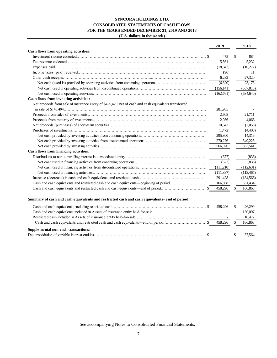# **SYNCORA HOLDINGS LTD. CONSOLIDATED STATEMENTS OF CASH FLOWS FOR THE YEARS ENDED DECEMBER 31, 2019 AND 2018 (U.S. dollars in thousands)**

|                                                                                                       | 2019       |               | 2018       |
|-------------------------------------------------------------------------------------------------------|------------|---------------|------------|
| Cash flows from operating activities:                                                                 |            |               |            |
|                                                                                                       | 475        | $\mathcal{S}$ | 884        |
|                                                                                                       | 5,561      |               | 5,232      |
|                                                                                                       | (18, 842)  |               | (10,272)   |
|                                                                                                       | (96)       |               | 11         |
|                                                                                                       | 6,282      |               | 27,320     |
| Net cash (used in) provided by operating activities from continuing operations                        | (6,620)    |               | 23,175     |
|                                                                                                       | (156, 141) |               | (657, 815) |
|                                                                                                       | (162,761)  |               | (634, 640) |
| Cash flows from investing activities:                                                                 |            |               |            |
| Net proceeds from sale of insurance entity of \$425,479, net of cash and cash equivalents transferred |            |               |            |
|                                                                                                       | 281,985    |               |            |
|                                                                                                       | 2,608      |               | 21.711     |
|                                                                                                       | 2,036      |               | 4.068      |
|                                                                                                       | 10.643     |               | (7,055)    |
|                                                                                                       | (1,472)    |               | (4,408)    |
|                                                                                                       | 295,800    |               | 14.316     |
|                                                                                                       | 270,276    |               | 549,225    |
|                                                                                                       | 566,076    |               | 563.541    |
| Cash flows from financing activities:                                                                 |            |               |            |
|                                                                                                       | (677)      |               | (836)      |
|                                                                                                       | (677)      |               | (836)      |
|                                                                                                       | (111,210)  |               | (112,631)  |
|                                                                                                       | (111, 887) |               | (113, 467) |
|                                                                                                       | 291,428    |               | (184, 566) |
| Cash and cash equivalents and restricted cash and cash equivalents—beginning of period                | 166,868    |               | 351,434    |
|                                                                                                       | 458,296    |               | 166,868    |
|                                                                                                       |            |               |            |
| Summary of cash and cash equivalents and restricted cash and cash equivalents- end of period:         |            |               |            |
|                                                                                                       | 458,296    | -\$           | 26,299     |
|                                                                                                       |            |               | 130,097    |
|                                                                                                       |            |               | 10,472     |
|                                                                                                       | 458,296    | -S            | 166,868    |
| Supplemental non-cash transactions:                                                                   |            |               |            |
|                                                                                                       |            |               | 57.564     |
|                                                                                                       |            |               |            |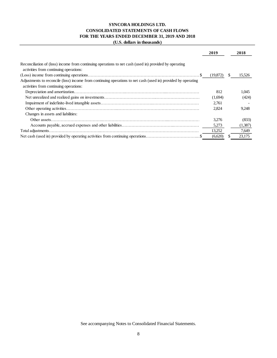# **SYNCORA HOLDINGS LTD. CONSOLIDATED STATEMENTS OF CASH FLOWS FOR THE YEARS ENDED DECEMBER 31, 2019 AND 2018 (U.S. dollars in thousands)**

|                                                                                                               | 2019     | 2018         |
|---------------------------------------------------------------------------------------------------------------|----------|--------------|
| Reconciliation of (loss) income from continuing operations to net cash (used in) provided by operating        |          |              |
| activities from continuing operations:                                                                        | (19,872) | 15,526<br>S. |
| Adjustments to reconcile (loss) income from continuing operations to net cash (used in) provided by operating |          |              |
| activities from continuing operations:                                                                        |          |              |
|                                                                                                               | 812      | 1,045        |
|                                                                                                               | (1,694)  | (424)        |
|                                                                                                               | 2,761    |              |
|                                                                                                               | 2,824    | 9,248        |
| Changes in assets and liabilities:                                                                            |          |              |
|                                                                                                               | 3,276    | (833)        |
|                                                                                                               | 5,273    | (1,387)      |
|                                                                                                               | 13,252   | 7,649        |
|                                                                                                               | (6,620)  | 23,175       |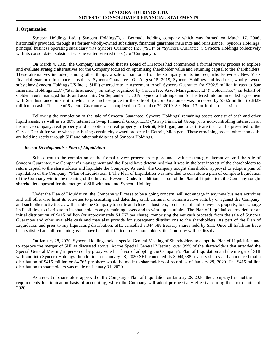# **1. Organization**

Syncora Holdings Ltd. ("Syncora Holdings"), a Bermuda holding company which was formed on March 17, 2006, historically provided, through its former wholly-owned subsidiary, financial guarantee insurance and reinsurance. Syncora Holdings' principal business operating subsidiary was Syncora Guarantee Inc. ("SGI" or "Syncora Guarantee"). Syncora Holdings collectively with its consolidated subsidiaries is hereafter referred to as (the "Company").

On March 4, 2019, the Company announced that its Board of Directors had commenced a formal review process to explore and evaluate strategic alternatives for the Company focused on optimizing shareholder value and returning capital to the shareholders. These alternatives included, among other things, a sale of part or all of the Company or its indirect, wholly-owned, New York financial guarantee insurance subsidiary, Syncora Guarantee. On August 15, 2019, Syncora Holdings and its direct, wholly-owned subsidiary Syncora Holdings US Inc. ("SHI") entered into an agreement to sell Syncora Guarantee for \$392.5 million in cash to Star Insurance Holdings LLC ("Star Insurance"), an entity organized by GoldenTree Asset Management LP ("GoldenTree") on behalf of GoldenTree's managed funds and accounts. On September 5, 2019, Syncora Holdings and SHI entered into an amended agreement with Star Insurance pursuant to which the purchase price for the sale of Syncora Guarantee was increased by \$36.5 million to \$429 million in cash. The sale of Syncora Guarantee was completed on December 30, 2019. See Note 13 for further discussion.

Following the completion of the sale of Syncora Guarantee, Syncora Holdings' remaining assets consist of cash and other liquid assets, as well as its 80% interest in Swap Financial Group, LLC ("Swap Financial Group"), its non-controlling interest in an insurance company, real property and an option on real property in Detroit, Michigan, and a certificate that can be presented to the City of Detroit for value when purchasing certain city-owned property in Detroit, Michigan. These remaining assets, other than cash, are held indirectly through SHI and other subsidiaries of Syncora Holdings.

#### *Recent Developments - Plan of Liquidation*

Subsequent to the completion of the formal review process to explore and evaluate strategic alternatives and the sale of Syncora Guarantee, the Company's management and the Board have determined that it was in the best interest of the shareholders to return capital to the shareholders and liquidate the Company. As such, the Company sought shareholder approval to adopt a plan of liquidation of the Company ("Plan of Liquidation"). The Plan of Liquidation was intended to constitute a plan of complete liquidation of the Company within the meaning of the Internal Revenue Code. In addition, as part of the Plan of Liquidation, the Company sought shareholder approval for the merger of SHI with and into Syncora Holdings.

Under the Plan of Liquidation, the Company will cease to be a going concern, will not engage in any new business activities and will otherwise limit its activities to prosecuting and defending civil, criminal or administrative suits by or against the Company, and such other activities as will enable the Company to settle and close its business, to dispose of and convey its property, to discharge its liabilities, to distribute to its shareholders any remaining assets and to wind up its affairs. The Plan of Liquidation provided for an initial distribution of \$415 million (or approximately \$4.767 per share), comprising the net cash proceeds from the sale of Syncora Guarantee and other available cash and may also provide for subsequent distributions to the shareholders. As part of the Plan of Liquidation and prior to any liquidating distribution, SHL cancelled 3,044,588 treasury shares held by SHI. Once all liabilities have been satisfied and all remaining assets have been distributed to the shareholders, the Company will be dissolved.

On January 28, 2020, Syncora Holdings held a special General Meeting of Shareholders to adopt the Plan of Liquidation and to approve the merger of SHI as discussed above. At the Special General Meeting, over 99% of the shareholders that attended the Special General Meeting in person or by proxy voted in favor of adopting the Company's Plan of Liquidation and the merger of SHI with and into Syncora Holdings. In addition, on January 28, 2020 SHL cancelled its 3,044,588 treasury shares and announced that a distribution of \$415 million or \$4.767 per share would be made to shareholders of record as of January 29, 2020. The \$415 million distribution to shareholders was made on January 31, 2020.

As a result of shareholder approval of the Company's Plan of Liquidation on January 28, 2020, the Company has met the requirements for liquidation basis of accounting, which the Company will adopt prospectively effective during the first quarter of 2020.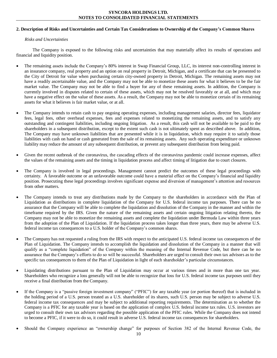# **2. Description of Risks and Uncertainties and Certain Tax Considerations to Ownership of the Company's Common Shares**

# *Risks and Uncertainties*

The Company is exposed to the following risks and uncertainties that may materially affect its results of operations and financial and liquidity position.

- The remaining assets include the Company's 80% interest in Swap Financial Group, LLC, its interest non-controlling interest in an insurance company, real property and an option on real property in Detroit, Michigan, and a certificate that can be presented to the City of Detroit for value when purchasing certain city-owned property in Detroit, Michigan. The remaining assets may not have a readily ascertainable value, and the Company may not be able to monetize these assets for what it believes to be the fair market value. The Company may not be able to find a buyer for any of these remaining assets. In addition, the Company is currently involved in disputes related to certain of these assets, which may not be resolved favorably or at all, and which may have a negative effect on the value of these assets. As a result, the Company may not be able to monetize certain of its remaining assets for what it believes is fair market value, or at all.
- The Company intends to retain cash to pay ongoing operating expenses, including management salaries, director fees, liquidator fees, legal fees, other overhead expenses, fees and expenses related to monetizing the remaining assets, and to satisfy any outstanding and contingent liabilities, including ongoing litigation. As a result, this cash will not be available to be paid to the shareholders in a subsequent distribution, except to the extent such cash is not ultimately spent as described above. In addition, The Company may have unknown liabilities that are presented while it is in liquidation, which may require it to satisfy those liabilities with cash on hand or cash generated from the sale of its remaining assets. Any such operating expenditure or unknown liability may reduce the amount of any subsequent distribution, or prevent any subsequent distribution from being paid.
- Given the recent outbreak of the coronavirus, the cascading effects of the coronavirus pandemic could increase expenses, affect the values of the remaining assets and the timing in liquidation process and affect timing of litigation due to court closures.
- The Company is involved in legal proceedings. Management cannot predict the outcomes of these legal proceedings with certainty. A favorable outcome or an unfavorable outcome could have a material effect on the Company's financial and liquidity position. Prosecuting these legal proceedings involves significant expense and diversion of management's attention and resources from other matters.
- The Company intends to treat any distributions made by the Company to the shareholders in accordance with the Plan of Liquidation as distributions in complete liquidation of the Company for U.S. federal income tax purposes. There can be no assurance that the Company will be able to complete the liquidation and dissolution of the Company in the manner and within the timeframe required by the IRS. Given the nature of the remaining assets and certain ongoing litigation relating thereto, the Company may not be able to monetize the remaining assets and complete the liquidation under Bermuda Law within three years from the adoption of the Plan of Liquidation. If the liquidation process takes longer than three years, there may be adverse U.S. federal income tax consequences to a U.S. holder of the Company's common shares.
- The Company has not requested a ruling from the IRS with respect to the anticipated U.S. federal income tax consequences of the Plan of Liquidation. The Company intends to accomplish the liquidation and dissolution of the Company in a manner that will qualify as a "complete liquidation" of the Company within the meaning of the Internal Revenue Code, but there can be no assurance that the Company's efforts to do so will be successful. Shareholders are urged to consult their own tax advisors as to the specific tax consequences to them of the Plan of Liquidation in light of each shareholder's particular circumstances.
- Liquidating distributions pursuant to the Plan of Liquidation may occur at various times and in more than one tax year. Shareholders who recognize a loss generally will not be able to recognize that loss for U.S. federal income tax purposes until they receive a final distribution from the Company.
- If the Company is a "passive foreign investment company" ("PFIC") for any taxable year (or portion thereof) that is included in the holding period of a U.S. person treated as a U.S. shareholder of its shares, such U.S. person may be subject to adverse U.S. federal income tax consequences and may be subject to additional reporting requirements. The determination as to whether the Company is a PFIC for any taxable year is based on the application of complex U.S. federal income tax rules. U.S. investors are urged to consult their own tax advisors regarding the possible application of the PFIC rules. While the Company does not intend to become a PFIC, if it were to do so, it could result in adverse U.S. federal income tax consequences for shareholders.
- Should the Company experience an "ownership change" for purposes of Section 382 of the Internal Revenue Code, the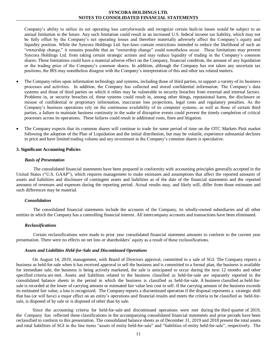Company's ability to utilize its net operating loss carryforwards and recognize certain built-in losses would be subject to an annual limitation in the future. Any such limitation could result in an increased U.S. federal income tax liability, which may not be fully offset by the Company's net operating losses and therefore materially adversely affect the Company's equity and liquidity position. While the Syncora Holdings Ltd. bye-laws contain restrictions intended to reduce the likelihood of such an "ownership change," it remains possible that an "ownership change" could nonetheless occur. These limitations may prevent Syncora Holdings Ltd. from taking certain strategic actions and may reduce liquidity of trading in the Company's common shares. These limitations could have a material adverse effect on the Company, financial condition, the amount of any liquidation or the trading price of the Company's common shares. In addition, although the Company has not taken any uncertain tax positions, the IRS may nonetheless disagree with the Company's interpretation of this and other tax related matters.

- The Company relies upon information technology and systems, including those of third parties, to support a variety of its business processes and activities. In addition, the Company has collected and stored confidential information. The Company's data systems and those of third parties on which it relies may be vulnerable to security breaches from external and internal factors. Problems in, or security breaches of, these systems could result in, among other things, reputational harm, the disclosure or misuse of confidential or proprietary information, inaccurate loss projections, legal costs and regulatory penalties. As the Company's business operations rely on the continuous availability of its computer systems, as well as those of certain third parties, a failure to maintain business continuity in the wake of disruptive events could prevent the timely completion of critical processes across its operations. These failures could result in additional costs, fines and litigation.
- The Company expects that its common shares will continue to trade for some period of time on the OTC Markets Pink market following the adoption of the Plan of Liquidation and the initial distribution, but may be volatile, experience substantial declines in price and have limited trading volume and any investment in the Company's common shares is speculative.

#### **3. Significant Accounting Policies**

#### *Basis of Presentation*

The consolidated financial statements have been prepared in conformity with accounting principles generally accepted in the United States ("U.S. GAAP"), which requires management to make estimates and assumptions that affect the reported amounts of assets and liabilities and disclosure of contingent assets and liabilities as of the date of the financial statements and the reported amounts of revenues and expenses during the reporting period. Actual results may, and likely will, differ from those estimates and such differences may be material.

#### *Consolidation*

The consolidated financial statements include the accounts of the Company, its wholly-owned subsidiaries and all other entities in which the Company has a controlling financial interest. All intercompany accounts and transactions have been eliminated.

#### *Reclassifications*

Certain reclassifications were made to prior year consolidated financial statement amounts to conform to the current year presentation. There were no effects on net loss or shareholders' equity as a result of these reclassifications.

#### *Assets and Liabilities Held-for-Sale and Discontinued Operations*

On August 14, 2019, management, with Board of Directors approval, committed to a sale of SGI. The Company reports a business as held-for-sale when it has received approval to sell the business and is committed to a formal plan, the business is available for immediate sale, the business is being actively marketed, the sale is anticipated to occur during the next 12 months and other specified criteria are met. Assets and liabilities related to the business classified as held-for-sale are separately reported in the consolidated balance sheets in the period in which the business is classified as held-for-sale. A business classified as held-forsale is recorded at the lower of carrying amount or estimated fair value less cost to sell. If the carrying amount of the business exceeds its estimated fair value, a loss is recognized. The Company reports a discontinued operation if the disposal represents a strategic shift that has (or will have) a major effect on an entity's operations and financial results and meets the criteria to be classified as held-forsale, is disposed of by sale or is disposed of other than by sale.

Since the accounting criteria for held-for-sale and discontinued operations were met during the third quarter of 2019, the Company has reflected these classifications in the accompanying consolidated financial statements and prior periods have been reclassified to conform to this presentation. The consolidated balance sheets as of December 31, 2019 and 2018 present the total assets and total liabilities of SGI in the line items "assets of entity held-for-sale" and "liabilities of entity held-for-sale", respectively. The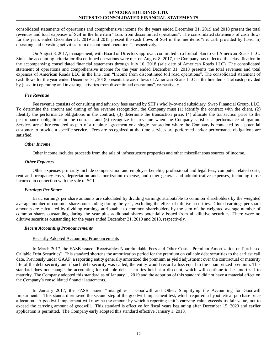consolidated statements of operations and comprehensive income for the years ended December 31, 2019 and 2018 present the total revenues and total expenses of SGI in the line item "Loss from discontinued operations". The consolidated statements of cash flows for the years ended December 31, 2019 and 2018 present the cash flows of SGI in the line items "net cash provided by (used in) operating and investing activities from discontinued operations", respectively.

On August 8, 2017, management, with Board of Directors approval, committed to a formal plan to sell American Roads LLC. Since the accounting criteria for discontinued operations were met on August 8, 2017, the Company has reflected this classification in the accompanying consolidated financial statements through July 16, 2018 (sale date of American Roads LLC). The consolidated statement of operations and comprehensive income for the year ended December 31, 2018 presents the total revenues and total expenses of American Roads LLC in the line item "Income from discontinued toll road operations". The consolidated statement of cash flows for the year ended December 31, 2018 presents the cash flows of American Roads LLC in the line items "net cash provided by (used in) operating and investing activities from discontinued operations", respectively.

#### *Fee Revenue*

Fee revenue consists of consulting and advisory fees earned by SHI's wholly-owned subsidiary, Swap Financial Group, LLC. To determine the amount and timing of fee revenue recognition, the Company must (1) identify the contract with the client, (2) identify the performance obligations in the contract, (3) determine the transaction price, (4) allocate the transaction price to the performance obligations in the contract, and (5) recognize fee revenue when the Company satisfies a performance obligation. Services are either rendered as part of a retainer agreement or a single transaction where the Company is contacted by a potential customer to provide a specific service. Fees are recognized at the time services are performed and/or performance obligations are satisfied.

#### *Other Income*

Other income includes proceeds from the sale of infrastructure properties and other miscellaneous sources of income.

#### *Other Expenses*

Other expenses primarily include compensation and employee benefits, professional and legal fees, computer related costs, rent and occupancy costs, depreciation and amortization expense, and other general and administrative expenses, including those incurred in connection with the sale of SGI.

#### *Earnings Per Share*

Basic earnings per share amounts are calculated by dividing earnings attributable to common shareholders by the weighted average number of common shares outstanding during the year, excluding the effect of dilutive securities. Diluted earnings per share amounts are calculated by dividing earnings attributable to common shareholders by the sum of the weighted average number of common shares outstanding during the year plus additional shares potentially issued from all dilutive securities. There were no dilutive securities outstanding for the years ended December 31, 2019 and 2018, respectively.

#### *Recent Accounting Pronouncements*

#### Recently Adopted Accounting Pronouncements

In March 2017, the FASB issued "Receivables-Nonrefundable Fees and Other Costs - Premium Amortization on Purchased Callable Debt Securities". This standard shortens the amortization period for the premium on callable debt securities to the earliest call date. Previously under GAAP, a reporting entity generally amortized the premium as yield adjustment over the contractual or maturity life of the debt security and if such debt security was called, the entity would record a loss equal to the unamortized premium. This standard does not change the accounting for callable debt securities held at a discount, which will continue to be amortized to maturity. The Company adopted this standard as of January 1, 2019 and the adoption of this standard did not have a material effect on the Company's consolidated financial statements.

In January 2017, the FASB issued "Intangibles – Goodwill and Other: Simplifying the Accounting for Goodwill Impairment". This standard removed the second step of the goodwill impairment test, which required a hypothetical purchase price allocation. A goodwill impairment will now be the amount by which a reporting unit's carrying value exceeds its fair value, not to exceed the carrying amount of goodwill. This standard is effective for fiscal years beginning after December 15, 2020 and earlier application is permitted. The Company early adopted this standard effective January 1, 2018.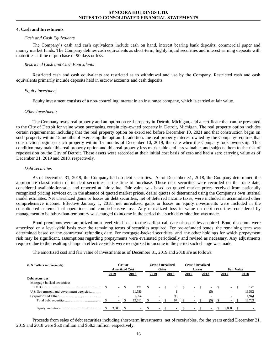#### **4. Cash and Investments**

#### *Cash and Cash Equivalents*

The Company's cash and cash equivalents include cash on hand, interest bearing bank deposits, commercial paper and money market funds. The Company defines cash equivalents as short-term, highly liquid securities and interest earning deposits with maturities at time of purchase of 90 days or less.

## *Restricted Cash and Cash Equivalents*

Restricted cash and cash equivalents are restricted as to withdrawal and use by the Company. Restricted cash and cash equivalents primarily include deposits held in escrow accounts and cash deposits.

#### *Equity investment*

Equity investment consists of a non-controlling interest in an insurance company, which is carried at fair value.

#### *Other Investments*

The Company owns real property and an option on real property in Detroit, Michigan, and a certificate that can be presented to the City of Detroit for value when purchasing certain city-owned property in Detroit, Michigan. The real property option includes certain requirements; including that the real property option be exercised before December 10, 2021 and that construction begin on such property within 15 months of exercising the option. In addition, the real property interest owned by the Company requires that construction begin on such property within 15 months of December 10, 2019, the date when the Company took ownership. This condition may make this real property option and this real property less marketable and less valuable, and subjects them to the risk of repossession by the City of Detroit. These assets were recorded at their initial cost basis of zero and had a zero carrying value as of December 31, 2019 and 2018, respectively.

# *Debt securities*

As of December 31, 2019, the Company had no debt securities. As of December 31, 2018, the Company determined the appropriate classification of its debt securities at the time of purchase. These debt securities were recorded on the trade date, considered available-for-sale, and reported at fair value. Fair value was based on quoted market prices received from nationally recognized pricing services or, in the absence of quoted market prices, dealer quotes or determined using the Company's own internal model estimates. Net unrealized gains or losses on debt securities, net of deferred income taxes, were included in accumulated other comprehensive income. Effective January 1, 2018, net unrealized gains or losses on equity investments were included in the consolidated statement of operations and comprehensive loss. Any unrealized loss in value on debt securities considered by management to be other-than-temporary was charged to income in the period that such determination was made.

Bond premiums were amortized on a level-yield basis to the earliest call date of securities acquired. Bond discounts were amortized on a level-yield basis over the remaining terms of securities acquired. For pre-refunded bonds, the remaining term was determined based on the contractual refunding date. For mortgage-backed securities, and any other holdings for which prepayment risk may be significant, assumptions regarding prepayments were evaluated periodically and revised as necessary. Any adjustments required due to the resulting change in effective yields were recognized in income in the period such change was made.

The amortized cost and fair value of investments as of December 31, 2019 and 2018 are as follows:

| (U.S. dollars in thousands)             | Cost or<br><b>Amortized Cost</b> |                          | <b>Gross Unrealized</b><br>Gains |  |                          |       | <b>Gross Unrealized</b><br>Losses |      |                          |        | <b>Fair Value</b> |  |                          |  |        |
|-----------------------------------------|----------------------------------|--------------------------|----------------------------------|--|--------------------------|-------|-----------------------------------|------|--------------------------|--------|-------------------|--|--------------------------|--|--------|
|                                         |                                  | 2019                     | 2018                             |  | 2019                     |       | 2018                              | 2019 |                          |        | 2018              |  | 2019                     |  | 2018   |
| Debt securities                         |                                  |                          |                                  |  |                          |       |                                   |      |                          |        |                   |  |                          |  |        |
| Mortgage-backed securities:             |                                  |                          |                                  |  |                          |       |                                   |      |                          |        |                   |  |                          |  |        |
|                                         |                                  | $\overline{\phantom{0}}$ | 171 S                            |  |                          | $-$ S |                                   | 6 \$ |                          | $-$ \$ | $-$ \$            |  | $\sim$                   |  | 177    |
| U.S. Government and government agencies |                                  |                          | 11.586                           |  |                          |       |                                   |      | $\overline{\phantom{a}}$ |        | (5)               |  | $\overline{\phantom{a}}$ |  | 11.582 |
|                                         |                                  |                          | 1,854                            |  |                          |       | 90                                |      | $\overline{\phantom{a}}$ |        |                   |  | $\overline{\phantom{0}}$ |  | 1,944  |
|                                         |                                  |                          | 13.611                           |  | $\overline{\phantom{a}}$ |       | 97                                |      | $\sim$                   |        | (5)               |  | $\sim$                   |  | 13.703 |
|                                         |                                  | 3,000                    | $\overline{\phantom{a}}$         |  | ۰.                       |       | $\sim$                            |      | $\sim$                   |        |                   |  | 3.000                    |  |        |

Proceeds from sales of debt securities including short-term investments, net of receivables, for the years ended December 31, 2019 and 2018 were \$5.0 million and \$58.3 million, respectively.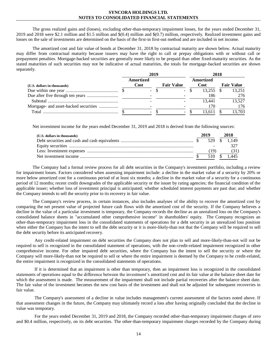The gross realized gains and (losses), excluding other-than-temporary impairment losses, for the years ended December 31, 2019 and 2018 were \$2.1 million and \$1.5 million and \$(0.4) million and \$(0.7) million, respectively. Realized investment gains and losses on the sale of investments are determined on the basis of the first-in first-out method and are included in net income.

The amortized cost and fair value of bonds at December 31, 2018 by contractual maturity are shown below. Actual maturity may differ from contractual maturity because issuers may have the right to call or prepay obligations with or without call or prepayment penalties. Mortgage-backed securities are generally more likely to be prepaid than other fixed-maturity securities. As the stated maturities of such securities may not be indicative of actual maturities, the totals for mortgage-backed securities are shown separately.

|                                       |                          | 2019              | 2018 |                   |  |                   |  |  |
|---------------------------------------|--------------------------|-------------------|------|-------------------|--|-------------------|--|--|
| (U.S. dollars in thousands)           | Amortized<br>Cost        | <b>Fair Value</b> |      | Amortized<br>Cost |  | <b>Fair Value</b> |  |  |
|                                       | $\overline{\phantom{a}}$ | $\sim$            |      | 13.255            |  | 13.251            |  |  |
|                                       |                          |                   |      | 186               |  | 276               |  |  |
|                                       |                          |                   |      | 13.441            |  | 13.527            |  |  |
| Mortgage- and asset-backed securities |                          |                   |      |                   |  | 176               |  |  |
| Total                                 | $\overline{\phantom{0}}$ |                   |      | 13.611            |  | 13.703            |  |  |

Net investment income for the years ended December 31, 2019 and 2018 is derived from the following sources:

| (U.S. dollars in thousands) | 2019 |      | 2018         |
|-----------------------------|------|------|--------------|
|                             |      |      |              |
|                             |      |      |              |
|                             |      | (19) | (31)         |
|                             |      |      | 510 \$ 1.445 |

The Company had a formal review process for all debt securities in the Company's investment portfolio, including a review for impairment losses. Factors considered when assessing impairment include: a decline in the market value of a security by 20% or more below amortized cost for a continuous period of at least six months; a decline in the market value of a security for a continuous period of 12 months; recent credit downgrades of the applicable security or the issuer by rating agencies; the financial condition of the applicable issuer; whether loss of investment principal is anticipated; whether scheduled interest payments are past due; and whether the Company intends to sell the security prior to its recovery in fair value.

The Company's review process, in certain instances, also includes analyses of the ability to recover the amortized cost by comparing the net present value of projected future cash flows with the amortized cost of the security. If the Company believes a decline in the value of a particular investment is temporary, the Company records the decline as an unrealized loss on the Company's consolidated balance sheets in "accumulated other comprehensive income" in shareholders' equity. The Company recognizes an other-than-temporary impairment loss in the consolidated statements of operations for a debt security in an unrealized loss position when either the Company has the intent to sell the debt security or it is more-likely-than not that the Company will be required to sell the debt security before its anticipated recovery.

Any credit-related impairment on debt securities the Company does not plan to sell and more-likely-than-not will not be required to sell is recognized in the consolidated statement of operations, with the non-credit-related impairment recognized in other comprehensive income. For other impaired debt securities, where the Company has the intent to sell the security or where the Company will more-likely-than not be required to sell or where the entire impairment is deemed by the Company to be credit-related, the entire impairment is recognized in the consolidated statements of operations.

If it is determined that an impairment is other than temporary, then an impairment loss is recognized in the consolidated statements of operations equal to the difference between the investment's amortized cost and its fair value at the balance sheet date for which the assessment is made. The measurement of the impairment shall not include partial recoveries after the balance sheet date. The fair value of the investment becomes the new cost basis of the investment and shall not be adjusted for subsequent recoveries in fair value.

The Company's assessment of a decline in value includes management's current assessment of the factors noted above. If that assessment changes in the future, the Company may ultimately record a loss after having originally concluded that the decline in value was temporary.

For the years ended December 31, 2019 and 2018, the Company recorded other-than-temporary impairment charges of zero and \$0.4 million, respectively, on its debt securities. The other-than-temporary impairment charges recorded by the Company during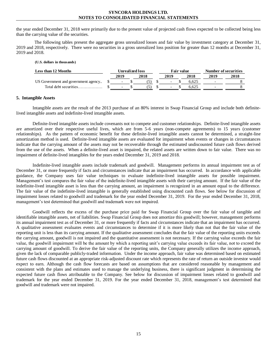the year ended December 31, 2018 were primarily due to the present value of projected cash flows expected to be collected being less than the carrying value of the securities.

The following tables present the aggregate gross unrealized losses and fair value by investment category at December 31, 2019 and 2018, respectively. There were no securities in a gross unrealized loss position for greater than 12 months at December 31, 2019 and 2018.

#### **(U.S. dollars in thousands)**

| Less than 12 Months                 | <b>Unrealized loss</b>   |  |      | Fair value               |  | Number of securities |      |      |
|-------------------------------------|--------------------------|--|------|--------------------------|--|----------------------|------|------|
|                                     | 2019                     |  | 2018 | 2019                     |  | 2018                 | 2019 | 2018 |
| US Government and government agency | $\overline{\phantom{0}}$ |  |      | $\overline{\phantom{0}}$ |  | 6.625                |      |      |
| Total debt securities               | -                        |  |      | $\overline{\phantom{0}}$ |  | 6.625                |      |      |

#### **5. Intangible Assets**

Intangible assets are the result of the 2013 purchase of an 80% interest in Swap Financial Group and include both definitelived intangible assets and indefinite-lived intangible assets.

Definite-lived intangible assets include covenants not to compete and customer relationships. Definite-lived intangible assets are amortized over their respective useful lives, which are from 5-6 years (non-compete agreements) to 15 years (customer relationships). As the pattern of economic benefit for these definite-lived intangible assets cannot be determined, a straight-line amortization method is used. Definite-lived intangible assets are evaluated for impairment when events or changes in circumstances indicate that the carrying amount of the assets may not be recoverable through the estimated undiscounted future cash flows derived from the use of the assets. When a definite-lived asset is impaired, the related assets are written down to fair value. There was no impairment of definite-lived intangibles for the years ended December 31, 2019 and 2018.

Indefinite-lived intangible assets include trademark and goodwill. Management performs its annual impairment test as of December 31, or more frequently if facts and circumstances indicate that an impairment has occurred. In accordance with applicable guidance, the Company uses fair value techniques to evaluate indefinite-lived intangible assets for possible impairment. Management's test compares the fair value of the indefinite-lived intangible assets with their carrying amount. If the fair value of the indefinite-lived intangible asset is less than the carrying amount, an impairment is recognized in an amount equal to the difference. The fair value of the indefinite-lived intangible is generally established using discounted cash flows. See below for discussion of impairment losses related to goodwill and trademark for the year ended December 31, 2019. For the year ended December 31, 2018, management's test determined that goodwill and trademark were not impaired.

Goodwill reflects the excess of the purchase price paid for Swap Financial Group over the fair value of tangible and identifiable intangible assets, net of liabilities. Swap Financial Group does not amortize this goodwill; however, management performs its annual impairment test as of December 31, or more frequently if facts and circumstances indicate that an impairment has occurred. A qualitative assessment evaluates events and circumstances to determine if it is more likely than not that the fair value of the reporting unit is less than its carrying amount. If the qualitative assessment concludes that the fair value of the reporting units exceeds the carrying amount, goodwill is not impaired and the quantitative assessment is not necessary. If the carrying value exceeds the fair value, the goodwill impairment will be the amount by which a reporting unit's carrying value exceeds its fair value, not to exceed the carrying amount of goodwill. To derive the fair value of the reporting units, the Company generally utilizes the income approach, given the lack of comparable publicly-traded information. Under the income approach, fair value was determined based on estimated future cash flows discounted at an appropriate risk-adjusted discount rate which represents the rate of return an outside investor would expect to earn. Although the cash flow forecasts are based on assumptions that are considered reasonable by management and consistent with the plans and estimates used to manage the underlying business, there is significant judgment in determining the expected future cash flows attributable to the Company. See below for discussion of impairment losses related to goodwill and trademark for the year ended December 31, 2019. For the year ended December 31, 2018, management's test determined that goodwill and trademark were not impaired.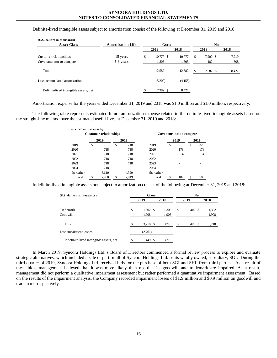Definite-lived intangible assets subject to amortization consist of the following at December 31, 2019 and 2018:

| (U.S. dollars in thousands)           |                          |                 |         |    |            |       |  |  |  |  |
|---------------------------------------|--------------------------|-----------------|---------|----|------------|-------|--|--|--|--|
| <b>Asset Class</b>                    | <b>Amortization Life</b> | Gross           |         |    | <b>Net</b> |       |  |  |  |  |
|                                       |                          | 2019            | 2018    |    | 2019       | 2018  |  |  |  |  |
| Customer relationships                | 15 years                 | \$<br>10,777 \$ | 10,777  | \$ | $7,200$ \$ | 7,919 |  |  |  |  |
| Covenants not to compete              | 5-6 years                | 1,805           | 1,805   |    | 182        | 508   |  |  |  |  |
| Total                                 |                          | 12,582          | 12,582  | \$ | 7,382 \$   | 8,427 |  |  |  |  |
| Less accumulated amortization         |                          | (5,200)         | (4,155) |    |            |       |  |  |  |  |
| Definite-lived intangible assets, net |                          | 7,382 \$        | 8,427   |    |            |       |  |  |  |  |

Amortization expense for the years ended December 31, 2019 and 2018 was \$1.0 million and \$1.0 million, respectively.

The following table represents estimated future amortization expense related to the definite-lived intangible assets based on the straight-line method over the estimated useful lives at December 31, 2019 and 2018:

|       |      |                               |            |                             |     |      | 2018                     |
|-------|------|-------------------------------|------------|-----------------------------|-----|------|--------------------------|
| \$    | \$   | 718                           | 2019       | \$                          |     | \$   | 326                      |
| 718   |      | 718                           | 2020       |                             | 178 |      | 178                      |
| 718   |      | 718                           | 2021       |                             | 4   |      | 4                        |
| 718   |      | 718                           | 2022       |                             |     |      |                          |
| 718   |      | 718                           | 2023       |                             |     |      |                          |
| 718   |      |                               | 2024       |                             |     |      |                          |
| 3,610 |      | 4.329                         | thereafter |                             |     |      |                          |
| 7.200 | \$   | 7,919                         | Total      |                             | 182 | \$.  | 508                      |
|       | 2019 | <b>Customer relationships</b> | 2018       | (U.S. dollars in thousands) |     | 2019 | Covenants not to compete |

Indefinite-lived intangible assets not subject to amortization consist of the following at December 31, 2019 and 2018:

| (U.S. dollars in thousands)             | Gross                     |       |    |        | <b>Net</b> |       |
|-----------------------------------------|---------------------------|-------|----|--------|------------|-------|
|                                         | 2019                      | 2018  |    | 2019   |            | 2018  |
| Trademark                               | \$<br>$1,302 \text{ }$ \$ | 1,302 | \$ | 449 \$ |            | 1,302 |
| Goodwill                                | 1,908                     | 1,908 |    |        |            | 1,908 |
| Total                                   | \$<br>3,210 \$            | 3.210 | S  | 449 \$ |            | 3,210 |
| Less impairment losses                  | (2,761)                   |       |    |        |            |       |
| Indefinite-lived intangible assets, net | 449 \$                    | 3,210 |    |        |            |       |

In March 2019, Syncora Holdings Ltd.'s Board of Directors commenced a formal review process to explore and evaluate strategic alternatives, which included a sale of part or all of Syncora Holdings Ltd. or its wholly owned, subsidiary, SGI. During the third quarter of 2019, Syncora Holdings Ltd. received bids for the purchase of both SGI and SHL from third parties. As a result of these bids, management believed that it was more likely than not that its goodwill and trademark are impaired. As a result, management did not perform a qualitative impairment assessment but rather performed a quantitative impairment assessment. Based on the results of the impairment analysis, the Company recorded impairment losses of \$1.9 million and \$0.9 million on goodwill and trademark, respectively.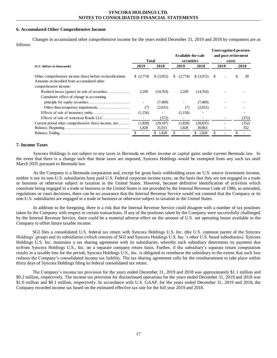# **6. Accumulated Other Comprehensive Income**

Changes in accumulated other comprehensive income for the years ended December 31, 2019 and 2018 by component are as follows:

|                                                                                                           |              |             |                     |              |      | Unrecognized pension |       |       |
|-----------------------------------------------------------------------------------------------------------|--------------|-------------|---------------------|--------------|------|----------------------|-------|-------|
|                                                                                                           |              |             | A vailable-for-sale |              |      | and post-retirement  |       |       |
|                                                                                                           | <b>Total</b> |             | securities          |              |      |                      | costs |       |
| (U.S. dollars in thousands)                                                                               | 2019         | 2018        | 2019                | 2018         | 2019 |                      | 2018  |       |
| Other comprehensive income (loss) before reclassifications<br>Amounts reclassified from accumulated other | (2,774)      | \$ (3,952)  | (2,774)<br>S.       | \$ (3.972)   | -S   |                      | \$    | 20    |
| comprehensive income:                                                                                     |              |             |                     |              |      |                      |       |       |
| Cumulative effect of change in accounting                                                                 | 2,109        | (14,763)    | 2,109               | (14,763)     |      |                      |       |       |
|                                                                                                           |              | (7, 469)    |                     | (7, 469)     |      |                      |       |       |
|                                                                                                           | (7)          | (2,631)     | (7)                 | (2,631)      |      |                      |       |       |
|                                                                                                           | (1,156)      |             | (1,156)             |              |      |                      |       |       |
|                                                                                                           |              | (372)       |                     |              |      |                      |       | (372) |
| Current period other comprehensive (loss) income, net                                                     | (1,828)      | (29, 187)   | (1,828)             | (28, 835)    |      |                      |       | (352) |
|                                                                                                           | 1,828        | 31,015      | 1,828               | 30,663       |      |                      |       | 352   |
|                                                                                                           |              | 1,828<br>\$ | \$                  | 1,828<br>\$. | \$   |                      |       |       |

# **7. Income Taxes**

Syncora Holdings is not subject to any taxes in Bermuda on either income or capital gains under current Bermuda law. In the event that there is a change such that these taxes are imposed, Syncora Holdings would be exempted from any such tax until March 2035 pursuant to Bermuda law.

As the Company is a Bermuda corporation and, except for gross basis withholding taxes on U.S. source investment income, neither it nor its non-U.S. subsidiaries have paid U.S. Federal corporate income taxes, on the basis that they are not engaged in a trade or business or otherwise subject to taxation in the United States. However, because definitive identification of activities which constitute being engaged in a trade or business in the United States is not provided by the Internal Revenue Code of 1986, as amended, regulations or court decisions, there can be no assurance that the Internal Revenue Service would not contend that the Company or its non-U.S. subsidiaries are engaged in a trade or business or otherwise subject to taxation in the United States.

In addition to the foregoing, there is a risk that the Internal Revenue Service could disagree with a number of tax positions taken by the Company with respect to certain transactions. If any of the positions taken by the Company were successfully challenged by the Internal Revenue Service, there could be a material adverse effect on the amount of U.S. net operating losses available to the Company to offset future taxable income.

SGI files a consolidated U.S. federal tax return with Syncora Holdings U.S. Inc. (the U.S. common parent of the Syncora Holdings' group) and its subsidiaries (which consists of SGI and Syncora Holdings U.S. Inc.'s other U.S. based subsidiaries). Syncora Holdings U.S. Inc. maintains a tax sharing agreement with its subsidiaries, whereby each subsidiary determines its payment due to/from Syncora Holdings U.S., Inc. on a separate company return basis. Further, if the subsidiary's separate return computation results in a taxable loss for the period, Syncora Holdings U.S., Inc. is obligated to reimburse the subsidiary to the extent that such loss reduces the Company's consolidated income tax liability. The tax sharing agreement calls for the reimbursement to take place within thirty days of Syncora Holdings filing its federal consolidated tax return.

The Company's income tax provision for the years ended December 31, 2019 and 2018 was approximately \$1.1 million and \$0.2 million, respectively. The income tax provision for discontinued operations for the years ended December 31, 2019 and 2018 was \$1.0 million and \$0.1 million, respectively. In accordance with U.S. GAAP, for the years ended December 31, 2019 and 2018, the Company recorded income tax based on the estimated effective tax rate for the full year 2019 and 2018.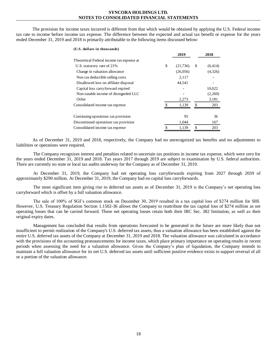The provision for income taxes incurred is different from that which would be obtained by applying the U.S. Federal income tax rate to income before income tax expense. The difference between the expected and actual tax benefit or expense for the years ended December 31, 2019 and 2018 is primarily attributable to the following items discussed below:

| (U.S. dollars in thousands)               |                 |                |
|-------------------------------------------|-----------------|----------------|
|                                           | 2019            | 2018           |
| Theoretical Federal income tax expense at |                 |                |
| U.S. statutory rate of 21%                | \$<br>(21, 736) | \$<br>(6, 414) |
| Change in valuation allowance             | (26,056)        | (4,326)        |
| Non tax deductible selling costs          | 2,117           |                |
| Disallowed loss on affiliate disposal     | 44,541          |                |
| Capital loss carry forward expired        |                 | 10,022         |
| Non-taxable income of disregarded LLC     |                 | (2,260)        |
| Other                                     | 2,273           | 3,181          |
| Consolidated income tax expense           | 1,139           | \$<br>203      |
|                                           |                 |                |
| Continuing operations tax provision       | 95              | 36             |
| Discontinued operations tax provision     | 1,044           | 167            |
| Consolidated income tax expense           | 1,139           | \$<br>203      |

As of December 31, 2019 and 2018, respectively, the Company had no unrecognized tax benefits and no adjustments to liabilities or operations were required.

The Company recognizes interest and penalties related to uncertain tax positions in income tax expense, which were zero for the years ended December 31, 2019 and 2018. Tax years 2017 through 2019 are subject to examination by U.S. federal authorities. There are currently no state or local tax audits underway for the Company as of December 31, 2019.

At December 31, 2019, the Company had net operating loss carryforwards expiring from 2027 through 2039 of approximately \$290 million. At December 31, 2019, the Company had no capital loss carryforwards.

The most significant item giving rise to deferred tax assets as of December 31, 2019 is the Company's net operating loss carryforward which is offset by a full valuation allowance.

The sale of 100% of SGI's common stock on December 30, 2019 resulted in a tax capital loss of \$274 million for SHI. However, U.S. Treasury Regulation Section 1.1502-36 allows the Company to reattribute the tax capital loss of \$274 million as net operating losses that can be carried forward. These net operating losses retain both their IRC Sec. 382 limitation, as well as their original expiry dates.

Management has concluded that results from operations forecasted to be generated in the future are more likely than not insufficient to permit realization of the Company's U.S. deferred tax assets, thus a valuation allowance has been established against the entire U.S. deferred tax assets of the Company at December 31, 2019 and 2018. The valuation allowance was calculated in accordance with the provisions of the accounting pronouncements for income taxes, which place primary importance on operating results in recent periods when assessing the need for a valuation allowance. Given the Company's plan of liquidation, the Company intends to maintain a full valuation allowance for its net U.S. deferred tax assets until sufficient positive evidence exists to support reversal of all or a portion of the valuation allowance.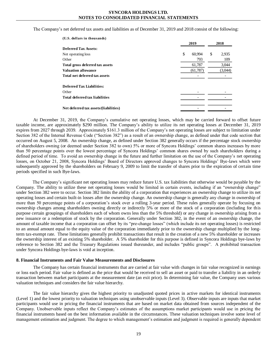The Company's net deferred tax assets and liabilities as of December 31, 2019 and 2018 consist of the following:

| (U.S. dollars in thousands)           |              |             |
|---------------------------------------|--------------|-------------|
|                                       | 2019         | 2018        |
| <b>Deferred Tax Assets:</b>           |              |             |
| Net operating loss                    | \$<br>60.994 | \$<br>2,935 |
| Other                                 | 793          | 109         |
| Total gross deferred tax assets       | 61,787       | 3,044       |
| <b>Valuation allowance</b>            | (61,787)     | (3,044)     |
| Total net deferred tax assets         |              |             |
| <b>Deferred Tax Liabilities:</b>      |              |             |
| Other                                 |              |             |
| <b>Total deferred tax liabilities</b> |              |             |
|                                       |              |             |
| Net deferred tax assets/(liabilities) |              |             |

At December 31, 2019, the Company's cumulative net operating losses, which may be carried forward to offset future taxable income, are approximately \$290 million. The Company's ability to utilize its net operating losses at December 31, 2019 expires from 2027 through 2039. Approximately \$161.3 million of the Company's net operating losses are subject to limitation under Section 382 of the Internal Revenue Code ("Section 382") as a result of an ownership change, as defined under that code section that occurred on August 5, 2008. An ownership change, as defined under Section 382 generally occurs if the percentage stock ownership of shareholders owning (or deemed under Section 382 to own) 5% or more of Syncora Holdings' common shares increases by more than 50 percentage points over the lowest percentage of Syncora Holdings' common shares owned by such shareholders during a defined period of time. To avoid an ownership change in the future and further limitation on the use of the Company's net operating losses, on October 21, 2008, Syncora Holdings' Board of Directors approved changes to Syncora Holdings' Bye-laws which were subsequently approved by the shareholders on February 9, 2009 to limit the transfer of shares prior to the expiration of certain time periods specified in such Bye-laws.

The Company's significant net operating losses may reduce future U.S. tax liabilities that otherwise would be payable by the Company. The ability to utilize these net operating losses would be limited in certain events, including if an "ownership change" under Section 382 were to occur. Section 382 limits the ability of a corporation that experiences an ownership change to utilize its net operating losses and certain built-in losses after the ownership change. An ownership change is generally any change in ownership of more than 50 percentage points of a corporation's stock over a rolling 3-year period. These rules generally operate by focusing on ownership changes among shareholders owning directly or indirectly 5% or more of the stock of a corporation (including for this purpose certain groupings of shareholders each of whom owns less than the 5% threshold) or any change in ownership arising from a new issuance or a redemption of stock by the corporation. Generally under Section 382, in the event of an ownership change, the amount of taxable income that a corporation can offset by its "pre-change losses" (which include its net operating losses) is restricted to an annual amount equal to the equity value of the corporation immediately prior to the ownership change multiplied by the longterm tax-exempt rate. These limitations generally prohibit transactions that result in the creation of a new 5% shareholder or increases the ownership interest of an existing 5% shareholder. A 5% shareholder for this purpose is defined in Syncora Holdings bye-laws by reference to Section 382 and the Treasury Regulations issued thereunder, and includes "public groups". A prohibited transaction under Syncora Holdings bye-laws is void at inception.

#### **8. Financial Instruments and Fair Value Measurements and Disclosures**

The Company has certain financial instruments that are carried at fair value with changes in fair value recognized in earnings or loss each period. Fair value is defined as the price that would be received to sell an asset or paid to transfer a liability in an orderly transaction between market participants at the measurement date (an exit price). In determining fair value, the Company uses various valuation techniques and considers the fair value hierarchy.

The fair value hierarchy gives the highest priority to unadjusted quoted prices in active markets for identical instruments (Level 1) and the lowest priority to valuation techniques using unobservable inputs (Level 3). Observable inputs are inputs that market participants would use in pricing the financial instruments that are based on market data obtained from sources independent of the Company. Unobservable inputs reflect the Company's estimates of the assumptions market participants would use in pricing the financial instruments based on the best information available in the circumstances. These valuation techniques involve some level of management estimation and judgment. The degree to which management's estimation and judgment is required is generally dependent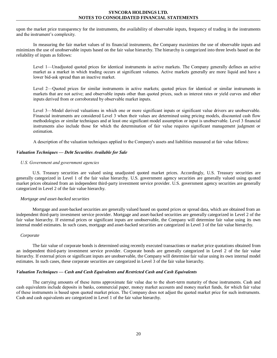upon the market price transparency for the instruments, the availability of observable inputs, frequency of trading in the instruments and the instrument's complexity.

In measuring the fair market values of its financial instruments, the Company maximizes the use of observable inputs and minimizes the use of unobservable inputs based on the fair value hierarchy. The hierarchy is categorized into three levels based on the reliability of inputs as follows:

Level 1—Unadjusted quoted prices for identical instruments in active markets. The Company generally defines an active market as a market in which trading occurs at significant volumes. Active markets generally are more liquid and have a lower bid-ask spread than an inactive market.

Level 2—Quoted prices for similar instruments in active markets; quoted prices for identical or similar instruments in markets that are not active; and observable inputs other than quoted prices, such as interest rates or yield curves and other inputs derived from or corroborated by observable market inputs.

Level 3—Model derived valuations in which one or more significant inputs or significant value drivers are unobservable. Financial instruments are considered Level 3 when their values are determined using pricing models, discounted cash flow methodologies or similar techniques and at least one significant model assumption or input is unobservable. Level 3 financial instruments also include those for which the determination of fair value requires significant management judgment or estimation.

A description of the valuation techniques applied to the Company's assets and liabilities measured at fair value follows:

# *Valuation Techniques — Debt Securities Available for Sale*

# *U.S. Government and government agencies*

U.S. Treasury securities are valued using unadjusted quoted market prices. Accordingly, U.S. Treasury securities are generally categorized in Level 1 of the fair value hierarchy. U.S. government agency securities are generally valued using quoted market prices obtained from an independent third-party investment service provider. U.S. government agency securities are generally categorized in Level 2 of the fair value hierarchy.

#### *Mortgage and asset-backed securities*

Mortgage and asset-backed securities are generally valued based on quoted prices or spread data, which are obtained from an independent third-party investment service provider. Mortgage and asset-backed securities are generally categorized in Level 2 of the fair value hierarchy. If external prices or significant inputs are unobservable, the Company will determine fair value using its own internal model estimates. In such cases, mortgage and asset-backed securities are categorized in Level 3 of the fair value hierarchy.

#### *Corporate*

The fair value of corporate bonds is determined using recently executed transactions or market price quotations obtained from an independent third-party investment service provider. Corporate bonds are generally categorized in Level 2 of the fair value hierarchy. If external prices or significant inputs are unobservable, the Company will determine fair value using its own internal model estimates. In such cases, these corporate securities are categorized in Level 3 of the fair value hierarchy.

#### *Valuation Techniques — Cash and Cash Equivalents and Restricted Cash and Cash Equivalents*

The carrying amounts of these items approximate fair value due to the short-term maturity of these instruments. Cash and cash equivalents include deposits in banks, commercial paper, money market accounts and money market funds, for which fair value of these instruments is based upon quoted market prices. The Company does not adjust the quoted market price for such instruments. Cash and cash equivalents are categorized in Level 1 of the fair value hierarchy.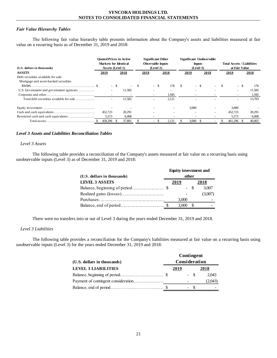# *Fair Value Hierarchy Tables*

The following fair value hierarchy table presents information about the Company's assets and liabilities measured at fair value on a recurring basis as of December 31, 2019 and 2018:

| (U.S. dollars in thousands)              | Markets for Identical<br>Assets (Level 1) |      | <b>Ouoted Prices in Active</b> |          | <b>Significant Other</b><br><b>Observable Inputs</b> | (Level 2) |        | (Level 3) | <b>Inputs</b> | <b>Significant Unobservable</b> | <b>Total Assets / Liabilities</b><br>at Fair Value |        |
|------------------------------------------|-------------------------------------------|------|--------------------------------|----------|------------------------------------------------------|-----------|--------|-----------|---------------|---------------------------------|----------------------------------------------------|--------|
| <b>ASSETS</b>                            | 2019                                      |      | 2018                           |          | 2019                                                 |           | 2018   | 2019      |               | 2018                            | 2019                                               | 2018   |
| Debt securities available for sale:      |                                           |      |                                |          |                                                      |           |        |           |               |                                 |                                                    |        |
| Mortgage and asset-backed securities     |                                           |      |                                |          |                                                      |           |        |           |               |                                 |                                                    |        |
|                                          | $\sim$                                    | - \$ | $\overline{\phantom{a}}$       | <b>S</b> |                                                      |           | 176    | \$        | - \$          |                                 |                                                    | 176    |
|                                          |                                           |      | 11.582                         |          |                                                      |           | $\sim$ |           |               |                                 |                                                    | 11,582 |
|                                          |                                           |      |                                |          |                                                      |           | 1,945  |           |               |                                 |                                                    | 1,945  |
| Total debt securities available for sale |                                           |      | 11,582                         |          |                                                      |           | 2,121  |           |               |                                 |                                                    | 13,703 |
|                                          |                                           |      |                                |          |                                                      |           |        | 3.000     |               |                                 | 3.000                                              |        |
|                                          | 452,723                                   |      | 20.291                         |          |                                                      |           |        |           |               |                                 | 452,723                                            | 20.291 |
|                                          | 5,573                                     |      | 6,008                          |          |                                                      |           |        |           |               |                                 | 5,573                                              | 6,008  |
|                                          | 458.296                                   |      | 37.881                         |          |                                                      | $\sim$    | 2,121  | 3,000     |               |                                 | 461.296                                            | 40,002 |

# *Level 3 Assets and Liabilities Reconciliation Tables*

# *Level 3 Assets*

The following table provides a reconciliation of the Company's assets measured at fair value on a recurring basis using unobservable inputs (Level 3) as of December 31, 2019 and 2018:

|                             | <b>Equity investment and</b> |       |         |  |  |  |  |  |  |
|-----------------------------|------------------------------|-------|---------|--|--|--|--|--|--|
| (U.S. dollars in thousands) | other                        |       |         |  |  |  |  |  |  |
| <b>LEVEL 3 ASSETS</b>       | 2019                         |       | 2018    |  |  |  |  |  |  |
|                             |                              | $- S$ | 3,007   |  |  |  |  |  |  |
|                             |                              |       | (3,007) |  |  |  |  |  |  |
|                             | 3.000                        |       |         |  |  |  |  |  |  |
|                             | 3,000                        |       |         |  |  |  |  |  |  |

There were no transfers into or out of Level 3 during the years ended December 31, 2019 and 2018.

# *Level 3 Liabilities*

The following table provides a reconciliation for the Company's liabilities measured at fair value on a recurring basis using unobservable inputs (Level 3) for the years ended December 31, 2019 and 2018:

|                             | Contingent |               |       |  |                          |  |  |  |  |
|-----------------------------|------------|---------------|-------|--|--------------------------|--|--|--|--|
| (U.S. dollars in thousands) |            | Consideration |       |  |                          |  |  |  |  |
| <b>LEVEL 3 LIABILITIES</b>  |            | 2019          |       |  | 2018                     |  |  |  |  |
|                             |            |               | $- S$ |  | 2.043                    |  |  |  |  |
|                             |            |               |       |  | (2,043)                  |  |  |  |  |
|                             |            |               | - \$  |  | $\overline{\phantom{a}}$ |  |  |  |  |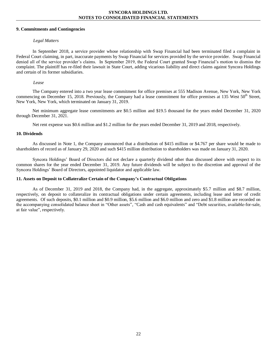# **9. Commitments and Contingencies**

# *Legal Matters*

In September 2018, a service provider whose relationship with Swap Financial had been terminated filed a complaint in Federal Court claiming, in part, inaccurate payments by Swap Financial for services provided by the service provider. Swap Financial denied all of the service provider's claims. In September 2019, the Federal Court granted Swap Financial's motion to dismiss the complaint. The plaintiff has re-filed their lawsuit in State Court, adding vicarious liability and direct claims against Syncora Holdings and certain of its former subsidiaries.

# *Lease*

The Company entered into a two year lease commitment for office premises at 555 Madison Avenue, New York, New York commencing on December 15, 2018. Previously, the Company had a lease commitment for office premises at 135 West  $50<sup>th</sup>$  Street, New York, New York, which terminated on January 31, 2019.

Net minimum aggregate lease commitments are \$0.5 million and \$19.5 thousand for the years ended December 31, 2020 through December 31, 2021.

Net rent expense was \$0.6 million and \$1.2 million for the years ended December 31, 2019 and 2018, respectively.

## **10. Dividends**

As discussed in Note 1, the Company announced that a distribution of \$415 million or \$4.767 per share would be made to shareholders of record as of January 29, 2020 and such \$415 million distribution to shareholders was made on January 31, 2020.

Syncora Holdings' Board of Directors did not declare a quarterly dividend other than discussed above with respect to its common shares for the year ended December 31, 2019. Any future dividends will be subject to the discretion and approval of the Syncora Holdings' Board of Directors, appointed liquidator and applicable law.

## **11. Assets on Deposit to Collateralize Certain of the Company's Contractual Obligations**

As of December 31, 2019 and 2018, the Company had, in the aggregate, approximately \$5.7 million and \$8.7 million, respectively, on deposit to collateralize its contractual obligations under certain agreements, including lease and letter of credit agreements. Of such deposits, \$0.1 million and \$0.9 million, \$5.6 million and \$6.0 million and zero and \$1.8 million are recorded on the accompanying consolidated balance sheet in "Other assets", "Cash and cash equivalents" and "Debt securities, available-for-sale, at fair value", respectively.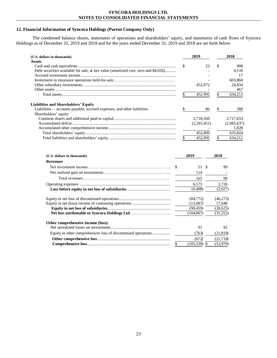# 12. Financial Information of Syncora Holdings (Parent Company Only)

The condensed balance sheets, statements of operations and shareholders' equity, and statements of cash flows of Syncora Holdings as of December 31, 2019 and 2018 and for the years ended December 31, 2019 and 2018 are set

| (U.S. dollars in thousands)                                                          | 2019          |     |           | 2018        |
|--------------------------------------------------------------------------------------|---------------|-----|-----------|-------------|
| <b>Assets</b>                                                                        | \$            | 23  | \$        | 908         |
| Debt securities available for sale, at fair value (amortized cost: zero and \$4,026) |               |     |           | 4,118       |
|                                                                                      |               |     |           | 17          |
|                                                                                      |               |     |           | 603,868     |
|                                                                                      | 452,972       |     |           | 24,834      |
|                                                                                      |               |     |           | 467         |
|                                                                                      | \$<br>452,995 |     | \$        | 634,212     |
| <b>Liabilities and Shareholders' Equity</b>                                          |               |     |           |             |
| Liabilities—accounts payable, accrued expenses, and other liabilities                | \$            | 86  | \$        | 388         |
| Shareholders' equity                                                                 |               |     |           |             |
|                                                                                      | 2,718,360     |     |           | 2,717,633   |
|                                                                                      | (2,265,451)   |     |           | (2,085,637) |
|                                                                                      |               |     |           | 1,828       |
|                                                                                      | 452,909       |     |           | 633,824     |
|                                                                                      | \$<br>452,995 |     | \$        | 634,212     |
| (U.S. dollars in thousands)<br><b>Revenues</b>                                       | 2019          |     | 2018      |             |
|                                                                                      | \$<br>51      | -\$ | 99        |             |
|                                                                                      |               |     |           |             |
|                                                                                      | 114<br>165    |     | 99        |             |
|                                                                                      |               |     |           |             |
|                                                                                      | 6,573         |     | 2,726     |             |
|                                                                                      | (6, 408)      |     | (2,627)   |             |
|                                                                                      | (84,772)      |     | (46,273)  |             |
|                                                                                      | (13,687)      |     | 17,648    |             |
|                                                                                      | (98, 459)     |     | (28, 625) |             |
|                                                                                      | (104, 867)    |     | (31,252)  |             |
| Other comprehensive income (loss):                                                   |               |     |           |             |
|                                                                                      |               |     |           |             |
|                                                                                      | 91            |     | 92        |             |
| Equity in other comprehensive loss of discontinued operations                        | (763)         |     | (21, 810) |             |
|                                                                                      | (672)         |     | (21,718)  |             |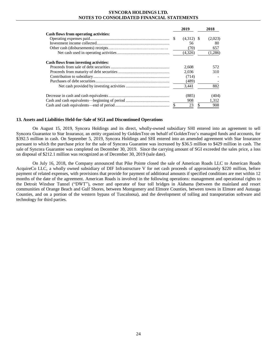|                                       |               | 2019         | 2018      |
|---------------------------------------|---------------|--------------|-----------|
| Cash flows from operating activities: |               |              |           |
|                                       |               | $(4,312)$ \$ | (2,023)   |
|                                       |               | 56           | 80        |
|                                       |               | (70)         | 657       |
|                                       |               | (4,326)      | (1,286)   |
| Cash flows from investing activities: |               |              |           |
|                                       |               | 2,608        | 572       |
|                                       |               | 2.036        | 310       |
|                                       |               | (714)        |           |
|                                       |               | (489)        |           |
|                                       |               | 3.441        | 882       |
|                                       |               | (885)        | (404)     |
|                                       |               | 908          | 1,312     |
|                                       | $\mathcal{S}$ | 23           | \$<br>908 |

#### **13. Assets and Liabilities Held-for-Sale of SGI and Discontinued Operations**

On August 15, 2019, Syncora Holdings and its direct, wholly-owned subsidiary SHI entered into an agreement to sell Syncora Guarantee to Star Insurance, an entity organized by GoldenTree on behalf of GoldenTree's managed funds and accounts, for \$392.5 million in cash. On September 5, 2019, Syncora Holdings and SHI entered into an amended agreement with Star Insurance pursuant to which the purchase price for the sale of Syncora Guarantee was increased by \$36.5 million to \$429 million in cash. The sale of Syncora Guarantee was completed on December 30, 2019. Since the carrying amount of SGI exceeded the sales price, a loss on disposal of \$212.1 million was recognized as of December 30, 2019 (sale date).

On July 16, 2018, the Company announced that Pike Pointe closed the sale of American Roads LLC to American Roads AcquireCo LLC, a wholly owned subsidiary of DIF Infrastructure V for net cash proceeds of approximately \$220 million, before payment of related expenses, with provisions that provide for payment of additional amounts if specified conditions are met within 12 months of the date of the agreement. American Roads is involved in the following operations: management and operational rights to the Detroit Windsor Tunnel ("DWT"), owner and operator of four toll bridges in Alabama (between the mainland and resort communities of Orange Beach and Gulf Shores, between Montgomery and Elmore Counties, between towns in Elmore and Autauga Counties, and on a portion of the western bypass of Tuscaloosa), and the development of tolling and transportation software and technology for third parties.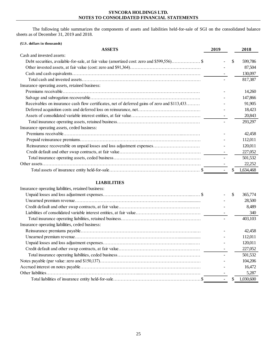The following table summarizes the components of assets and liabilities held-for-sale of SGI on the consolidated balance sheets as of December 31, 2019 and 2018.

| <b>ASSETS</b><br>2019<br>2018<br>Cash and invested assets:<br><sup>\$</sup><br>599.786<br>87,504<br>130,097<br>817,387<br>Insurance operating assets, retained business:<br>14,260<br>147,866<br>Receivables on insurance cash flow certificates, net of deferred gains of zero and \$113,433<br>91,905<br>18,423<br>20,843 |
|-----------------------------------------------------------------------------------------------------------------------------------------------------------------------------------------------------------------------------------------------------------------------------------------------------------------------------|
|                                                                                                                                                                                                                                                                                                                             |
|                                                                                                                                                                                                                                                                                                                             |
|                                                                                                                                                                                                                                                                                                                             |
|                                                                                                                                                                                                                                                                                                                             |
|                                                                                                                                                                                                                                                                                                                             |
|                                                                                                                                                                                                                                                                                                                             |
|                                                                                                                                                                                                                                                                                                                             |
|                                                                                                                                                                                                                                                                                                                             |
|                                                                                                                                                                                                                                                                                                                             |
|                                                                                                                                                                                                                                                                                                                             |
|                                                                                                                                                                                                                                                                                                                             |
|                                                                                                                                                                                                                                                                                                                             |
| 293,297                                                                                                                                                                                                                                                                                                                     |
| Insurance operating assets, ceded business:                                                                                                                                                                                                                                                                                 |
| 42,458                                                                                                                                                                                                                                                                                                                      |
| 112,011                                                                                                                                                                                                                                                                                                                     |
| Reinsurance recoverable on unpaid losses and loss adjustment expenses<br>120,011                                                                                                                                                                                                                                            |
| 227,052                                                                                                                                                                                                                                                                                                                     |
| 501,532                                                                                                                                                                                                                                                                                                                     |
| 22,252                                                                                                                                                                                                                                                                                                                      |
| 1,634,468                                                                                                                                                                                                                                                                                                                   |

# **LIABILITIES**

| Insurance operating liabilities, retained business: |               |           |
|-----------------------------------------------------|---------------|-----------|
|                                                     | <sup>\$</sup> | 365,774   |
|                                                     |               | 28,500    |
|                                                     |               | 8,489     |
|                                                     |               | 340       |
|                                                     |               | 403,103   |
| Insurance operating liabilities, ceded business:    |               |           |
|                                                     |               | 42.458    |
|                                                     |               | 112,011   |
|                                                     |               | 120,011   |
|                                                     |               | 227,052   |
|                                                     |               | 501,532   |
|                                                     |               | 104.206   |
|                                                     |               | 16.472    |
|                                                     |               | 5,287     |
|                                                     |               | 1,030,600 |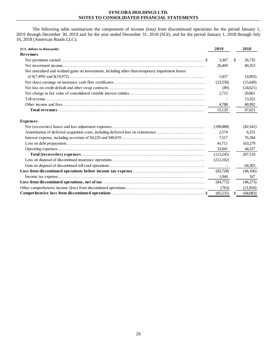The following table summarizes the components of income (loss) from discontinued operations for the period January 1, 2019 through December 30, 2019 and for the year ended December 31, 2018 (SGI), and for the period January 1, 2018 through July 16, 2018 (American Roads LLC).

| (U.S. dollars in thousands)                                                                        | 2019      |   | 2018     |
|----------------------------------------------------------------------------------------------------|-----------|---|----------|
| Revenues                                                                                           |           |   |          |
|                                                                                                    | 3,367     | S | 26,735   |
|                                                                                                    | 26,469    |   | 40,353   |
| Net unrealized and realized gains on investments, including other-than-temporary impairment losses |           |   |          |
|                                                                                                    | 1,437     |   | (4,902)  |
|                                                                                                    | (23,558)  |   | (15,649) |
|                                                                                                    | (89)      |   | (24,621) |
|                                                                                                    | 2,715     |   | 20,861   |
|                                                                                                    |           |   | 13,252   |
|                                                                                                    | 4,788     |   | 40,992   |
|                                                                                                    | 15,129    |   | 97,021   |
|                                                                                                    |           |   |          |
| <b>Expenses</b>                                                                                    |           |   |          |
|                                                                                                    | (198,088) |   | (82,541) |
| Amortization of deferred acquisition costs, including deferred loss on reinsurance                 | 2.574     |   | 6,251    |
|                                                                                                    | 7,517     |   | 76,184   |
|                                                                                                    | 41.711    |   | 163,279  |
|                                                                                                    | 33,041    |   | 44,337   |
|                                                                                                    | (113,245) |   | 207,510  |
|                                                                                                    | (212,102) |   |          |
|                                                                                                    |           |   | 64,383   |
|                                                                                                    | (83,728)  |   | (46,106) |
|                                                                                                    | 1.044     |   | 167      |
|                                                                                                    | (84,772)  |   | (46,273) |

**Comprehensive loss from discontinued operations**……………………………………………………………………………………...……………………….. \$ (85,535) \$ (68,083)

Other comprehensive income (loss) from discontinued operations…………………………………………………

 $(763)$   $(21,810)$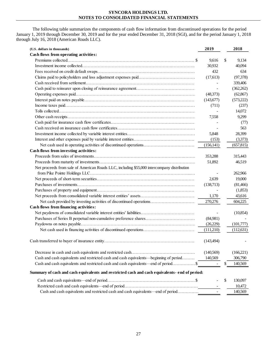The following table summarizes the components of cash flow information from discontinued operations for the period January 1, 2019 through December 30, 2019 and for the year ended December 31, 2018 (SGI), and for the period January 1, 2018 through July 16, 2018 (American Roads LLC).

| 9,616<br>9,134<br>30,932<br>40,094<br>432<br>634<br>(17,613)<br>(97,378)<br>339,406<br>$\overline{\phantom{a}}$<br>(362, 262)<br>$\sim$<br>(48,373)<br>(62, 867)<br>(143, 677)<br>(573,222)<br>(711)<br>(237)<br>14,072<br>7,558<br>9,299<br>(77)<br>563<br>$\sim$<br>5,848<br>28,399<br>(153)<br>(3,373)<br>(156, 141)<br>(657, 815)<br>Cash flows from investing activities:<br>353,288<br>315,443<br>51,892<br>46,519<br>Net proceeds from sale of American Roads LLC, including \$55,000 intercompany distribution<br>262,966<br>2,639<br>19,000<br>(138,713)<br>(81, 466)<br>(1,853)<br>1,170<br>43,616<br>270,276<br>Net cash provided by investing activities of discontinued operations<br>604,225<br>Cash flows from financing activities:<br>(10, 854)<br>(84,981)<br>(26,229)<br>(101,777)<br>(111,210)<br>(112,631)<br>(143, 494)<br>(140,569)<br>(166,221)<br>Cash and cash equivalents and restricted cash and cash equivalents—beginning of period<br>140,569<br>306,790<br>Cash and cash equivalents and restricted cash and cash equivalents—end of period\$<br>140,569<br>$\sim$<br>Summary of cash and cash equivalents and restricted cash and cash equivalents- end of period:<br>130,097<br>-S<br>$\sim$<br>10,472<br>Cash and cash equivalents and restricted cash and cash equivalents—end of period<br>140,569<br>$\sim$ | (U.S. dollars in thousands)           | 2019 | 2018 |
|---------------------------------------------------------------------------------------------------------------------------------------------------------------------------------------------------------------------------------------------------------------------------------------------------------------------------------------------------------------------------------------------------------------------------------------------------------------------------------------------------------------------------------------------------------------------------------------------------------------------------------------------------------------------------------------------------------------------------------------------------------------------------------------------------------------------------------------------------------------------------------------------------------------------------------------------------------------------------------------------------------------------------------------------------------------------------------------------------------------------------------------------------------------------------------------------------------------------------------------------------------------------------------------------------------------------------------------------------|---------------------------------------|------|------|
|                                                                                                                                                                                                                                                                                                                                                                                                                                                                                                                                                                                                                                                                                                                                                                                                                                                                                                                                                                                                                                                                                                                                                                                                                                                                                                                                                   | Cash flows from operating activities: |      |      |
|                                                                                                                                                                                                                                                                                                                                                                                                                                                                                                                                                                                                                                                                                                                                                                                                                                                                                                                                                                                                                                                                                                                                                                                                                                                                                                                                                   |                                       |      |      |
|                                                                                                                                                                                                                                                                                                                                                                                                                                                                                                                                                                                                                                                                                                                                                                                                                                                                                                                                                                                                                                                                                                                                                                                                                                                                                                                                                   |                                       |      |      |
|                                                                                                                                                                                                                                                                                                                                                                                                                                                                                                                                                                                                                                                                                                                                                                                                                                                                                                                                                                                                                                                                                                                                                                                                                                                                                                                                                   |                                       |      |      |
|                                                                                                                                                                                                                                                                                                                                                                                                                                                                                                                                                                                                                                                                                                                                                                                                                                                                                                                                                                                                                                                                                                                                                                                                                                                                                                                                                   |                                       |      |      |
|                                                                                                                                                                                                                                                                                                                                                                                                                                                                                                                                                                                                                                                                                                                                                                                                                                                                                                                                                                                                                                                                                                                                                                                                                                                                                                                                                   |                                       |      |      |
|                                                                                                                                                                                                                                                                                                                                                                                                                                                                                                                                                                                                                                                                                                                                                                                                                                                                                                                                                                                                                                                                                                                                                                                                                                                                                                                                                   |                                       |      |      |
|                                                                                                                                                                                                                                                                                                                                                                                                                                                                                                                                                                                                                                                                                                                                                                                                                                                                                                                                                                                                                                                                                                                                                                                                                                                                                                                                                   |                                       |      |      |
|                                                                                                                                                                                                                                                                                                                                                                                                                                                                                                                                                                                                                                                                                                                                                                                                                                                                                                                                                                                                                                                                                                                                                                                                                                                                                                                                                   |                                       |      |      |
|                                                                                                                                                                                                                                                                                                                                                                                                                                                                                                                                                                                                                                                                                                                                                                                                                                                                                                                                                                                                                                                                                                                                                                                                                                                                                                                                                   |                                       |      |      |
|                                                                                                                                                                                                                                                                                                                                                                                                                                                                                                                                                                                                                                                                                                                                                                                                                                                                                                                                                                                                                                                                                                                                                                                                                                                                                                                                                   |                                       |      |      |
|                                                                                                                                                                                                                                                                                                                                                                                                                                                                                                                                                                                                                                                                                                                                                                                                                                                                                                                                                                                                                                                                                                                                                                                                                                                                                                                                                   |                                       |      |      |
|                                                                                                                                                                                                                                                                                                                                                                                                                                                                                                                                                                                                                                                                                                                                                                                                                                                                                                                                                                                                                                                                                                                                                                                                                                                                                                                                                   |                                       |      |      |
|                                                                                                                                                                                                                                                                                                                                                                                                                                                                                                                                                                                                                                                                                                                                                                                                                                                                                                                                                                                                                                                                                                                                                                                                                                                                                                                                                   |                                       |      |      |
|                                                                                                                                                                                                                                                                                                                                                                                                                                                                                                                                                                                                                                                                                                                                                                                                                                                                                                                                                                                                                                                                                                                                                                                                                                                                                                                                                   |                                       |      |      |
|                                                                                                                                                                                                                                                                                                                                                                                                                                                                                                                                                                                                                                                                                                                                                                                                                                                                                                                                                                                                                                                                                                                                                                                                                                                                                                                                                   |                                       |      |      |
|                                                                                                                                                                                                                                                                                                                                                                                                                                                                                                                                                                                                                                                                                                                                                                                                                                                                                                                                                                                                                                                                                                                                                                                                                                                                                                                                                   |                                       |      |      |
|                                                                                                                                                                                                                                                                                                                                                                                                                                                                                                                                                                                                                                                                                                                                                                                                                                                                                                                                                                                                                                                                                                                                                                                                                                                                                                                                                   |                                       |      |      |
|                                                                                                                                                                                                                                                                                                                                                                                                                                                                                                                                                                                                                                                                                                                                                                                                                                                                                                                                                                                                                                                                                                                                                                                                                                                                                                                                                   |                                       |      |      |
|                                                                                                                                                                                                                                                                                                                                                                                                                                                                                                                                                                                                                                                                                                                                                                                                                                                                                                                                                                                                                                                                                                                                                                                                                                                                                                                                                   |                                       |      |      |
|                                                                                                                                                                                                                                                                                                                                                                                                                                                                                                                                                                                                                                                                                                                                                                                                                                                                                                                                                                                                                                                                                                                                                                                                                                                                                                                                                   |                                       |      |      |
|                                                                                                                                                                                                                                                                                                                                                                                                                                                                                                                                                                                                                                                                                                                                                                                                                                                                                                                                                                                                                                                                                                                                                                                                                                                                                                                                                   |                                       |      |      |
|                                                                                                                                                                                                                                                                                                                                                                                                                                                                                                                                                                                                                                                                                                                                                                                                                                                                                                                                                                                                                                                                                                                                                                                                                                                                                                                                                   |                                       |      |      |
|                                                                                                                                                                                                                                                                                                                                                                                                                                                                                                                                                                                                                                                                                                                                                                                                                                                                                                                                                                                                                                                                                                                                                                                                                                                                                                                                                   |                                       |      |      |
|                                                                                                                                                                                                                                                                                                                                                                                                                                                                                                                                                                                                                                                                                                                                                                                                                                                                                                                                                                                                                                                                                                                                                                                                                                                                                                                                                   |                                       |      |      |
|                                                                                                                                                                                                                                                                                                                                                                                                                                                                                                                                                                                                                                                                                                                                                                                                                                                                                                                                                                                                                                                                                                                                                                                                                                                                                                                                                   |                                       |      |      |
|                                                                                                                                                                                                                                                                                                                                                                                                                                                                                                                                                                                                                                                                                                                                                                                                                                                                                                                                                                                                                                                                                                                                                                                                                                                                                                                                                   |                                       |      |      |
|                                                                                                                                                                                                                                                                                                                                                                                                                                                                                                                                                                                                                                                                                                                                                                                                                                                                                                                                                                                                                                                                                                                                                                                                                                                                                                                                                   |                                       |      |      |
|                                                                                                                                                                                                                                                                                                                                                                                                                                                                                                                                                                                                                                                                                                                                                                                                                                                                                                                                                                                                                                                                                                                                                                                                                                                                                                                                                   |                                       |      |      |
|                                                                                                                                                                                                                                                                                                                                                                                                                                                                                                                                                                                                                                                                                                                                                                                                                                                                                                                                                                                                                                                                                                                                                                                                                                                                                                                                                   |                                       |      |      |
|                                                                                                                                                                                                                                                                                                                                                                                                                                                                                                                                                                                                                                                                                                                                                                                                                                                                                                                                                                                                                                                                                                                                                                                                                                                                                                                                                   |                                       |      |      |
|                                                                                                                                                                                                                                                                                                                                                                                                                                                                                                                                                                                                                                                                                                                                                                                                                                                                                                                                                                                                                                                                                                                                                                                                                                                                                                                                                   |                                       |      |      |
|                                                                                                                                                                                                                                                                                                                                                                                                                                                                                                                                                                                                                                                                                                                                                                                                                                                                                                                                                                                                                                                                                                                                                                                                                                                                                                                                                   |                                       |      |      |
|                                                                                                                                                                                                                                                                                                                                                                                                                                                                                                                                                                                                                                                                                                                                                                                                                                                                                                                                                                                                                                                                                                                                                                                                                                                                                                                                                   |                                       |      |      |
|                                                                                                                                                                                                                                                                                                                                                                                                                                                                                                                                                                                                                                                                                                                                                                                                                                                                                                                                                                                                                                                                                                                                                                                                                                                                                                                                                   |                                       |      |      |
|                                                                                                                                                                                                                                                                                                                                                                                                                                                                                                                                                                                                                                                                                                                                                                                                                                                                                                                                                                                                                                                                                                                                                                                                                                                                                                                                                   |                                       |      |      |
|                                                                                                                                                                                                                                                                                                                                                                                                                                                                                                                                                                                                                                                                                                                                                                                                                                                                                                                                                                                                                                                                                                                                                                                                                                                                                                                                                   |                                       |      |      |
|                                                                                                                                                                                                                                                                                                                                                                                                                                                                                                                                                                                                                                                                                                                                                                                                                                                                                                                                                                                                                                                                                                                                                                                                                                                                                                                                                   |                                       |      |      |
|                                                                                                                                                                                                                                                                                                                                                                                                                                                                                                                                                                                                                                                                                                                                                                                                                                                                                                                                                                                                                                                                                                                                                                                                                                                                                                                                                   |                                       |      |      |
|                                                                                                                                                                                                                                                                                                                                                                                                                                                                                                                                                                                                                                                                                                                                                                                                                                                                                                                                                                                                                                                                                                                                                                                                                                                                                                                                                   |                                       |      |      |
|                                                                                                                                                                                                                                                                                                                                                                                                                                                                                                                                                                                                                                                                                                                                                                                                                                                                                                                                                                                                                                                                                                                                                                                                                                                                                                                                                   |                                       |      |      |